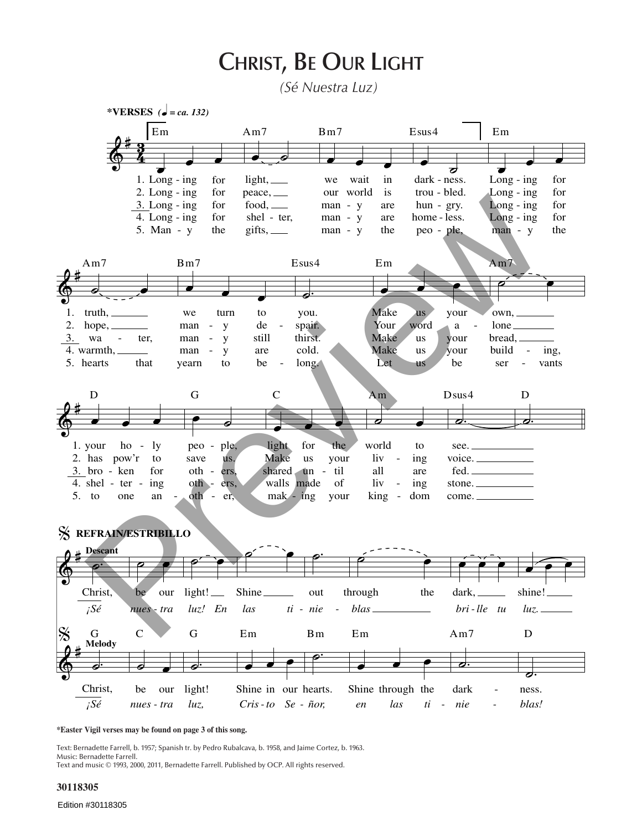## **CHRIST, BE OUR LIGHT**

(Sé Nuestra Luz)



## \*Easter Vigil verses may be found on page 3 of this song.

Text: Bernadette Farrell, b. 1957; Spanish tr. by Pedro Rubalcava, b. 1958, and Jaime Cortez, b. 1963. Music: Bernadette Farrell.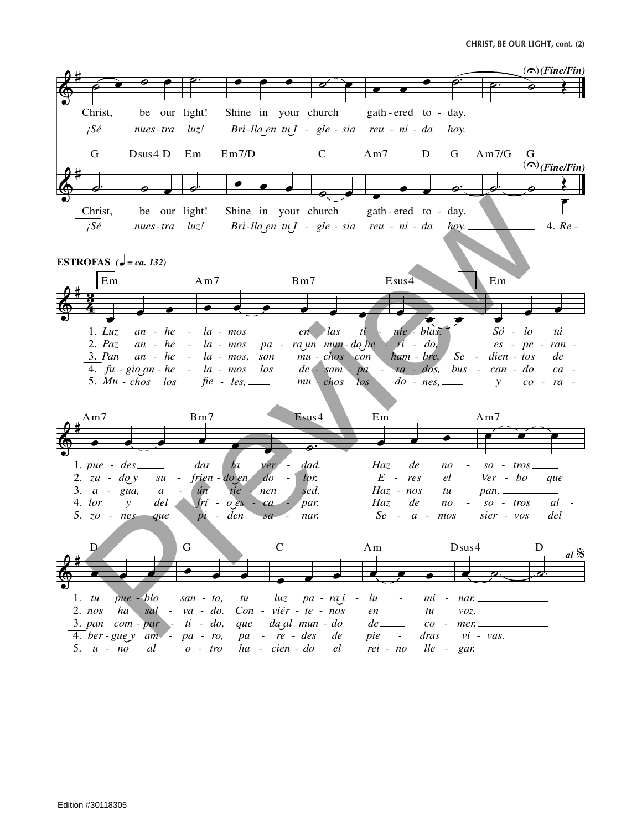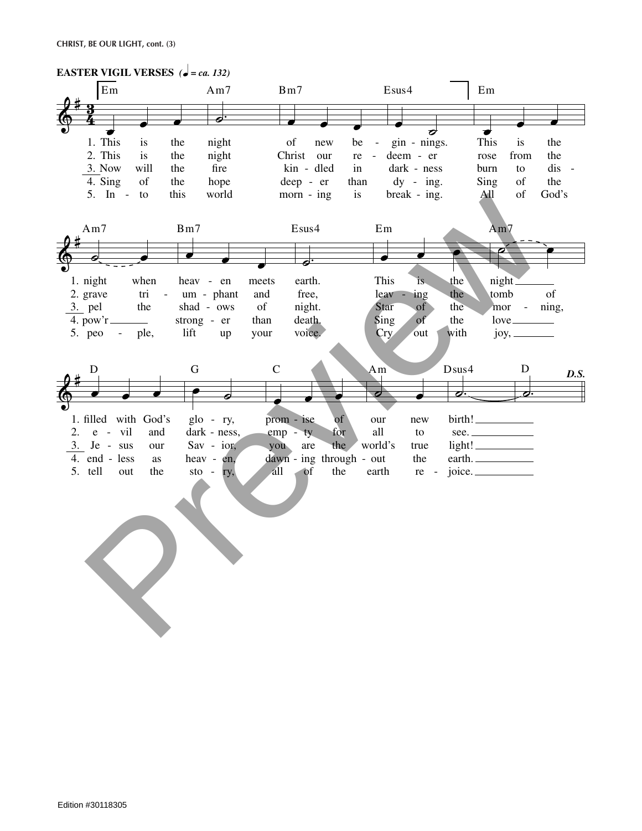